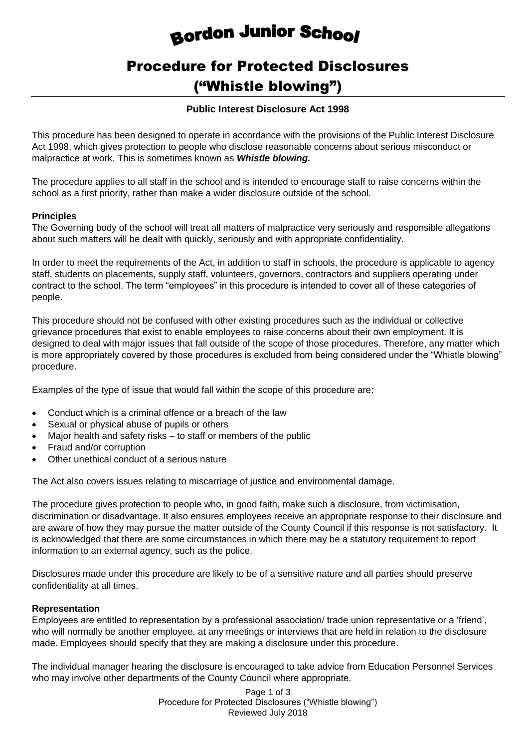# Bordon Junior School

# Procedure for Protected Disclosures ("Whistle blowing")

# **Public Interest Disclosure Act 1998**

This procedure has been designed to operate in accordance with the provisions of the Public Interest Disclosure Act 1998, which gives protection to people who disclose reasonable concerns about serious misconduct or malpractice at work. This is sometimes known as *Whistle blowing.*

The procedure applies to all staff in the school and is intended to encourage staff to raise concerns within the school as a first priority, rather than make a wider disclosure outside of the school.

#### **Principles**

The Governing body of the school will treat all matters of malpractice very seriously and responsible allegations about such matters will be dealt with quickly, seriously and with appropriate confidentiality.

In order to meet the requirements of the Act, in addition to staff in schools, the procedure is applicable to agency staff, students on placements, supply staff, volunteers, governors, contractors and suppliers operating under contract to the school. The term "employees" in this procedure is intended to cover all of these categories of people.

This procedure should not be confused with other existing procedures such as the individual or collective grievance procedures that exist to enable employees to raise concerns about their own employment. It is designed to deal with major issues that fall outside of the scope of those procedures. Therefore, any matter which is more appropriately covered by those procedures is excluded from being considered under the "Whistle blowing" procedure.

Examples of the type of issue that would fall within the scope of this procedure are:

- Conduct which is a criminal offence or a breach of the law
- Sexual or physical abuse of pupils or others
- Major health and safety risks to staff or members of the public
- Fraud and/or corruption
- Other unethical conduct of a serious nature

The Act also covers issues relating to miscarriage of justice and environmental damage.

The procedure gives protection to people who, in good faith, make such a disclosure, from victimisation, discrimination or disadvantage. It also ensures employees receive an appropriate response to their disclosure and are aware of how they may pursue the matter outside of the County Council if this response is not satisfactory. It is acknowledged that there are some circumstances in which there may be a statutory requirement to report information to an external agency, such as the police.

Disclosures made under this procedure are likely to be of a sensitive nature and all parties should preserve confidentiality at all times.

#### **Representation**

Employees are entitled to representation by a professional association/ trade union representative or a 'friend', who will normally be another employee, at any meetings or interviews that are held in relation to the disclosure made. Employees should specify that they are making a disclosure under this procedure.

The individual manager hearing the disclosure is encouraged to take advice from Education Personnel Services who may involve other departments of the County Council where appropriate.

> Page 1 of 3 Procedure for Protected Disclosures ("Whistle blowing") Reviewed July 2018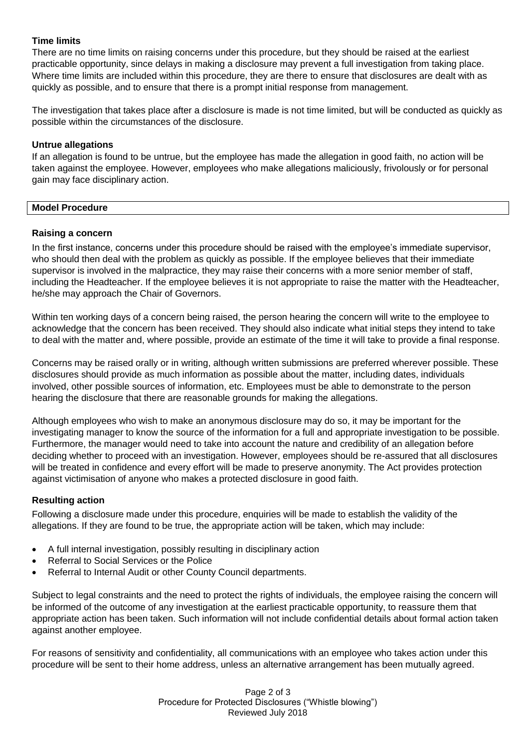# **Time limits**

There are no time limits on raising concerns under this procedure, but they should be raised at the earliest practicable opportunity, since delays in making a disclosure may prevent a full investigation from taking place. Where time limits are included within this procedure, they are there to ensure that disclosures are dealt with as quickly as possible, and to ensure that there is a prompt initial response from management.

The investigation that takes place after a disclosure is made is not time limited, but will be conducted as quickly as possible within the circumstances of the disclosure.

#### **Untrue allegations**

If an allegation is found to be untrue, but the employee has made the allegation in good faith, no action will be taken against the employee. However, employees who make allegations maliciously, frivolously or for personal gain may face disciplinary action.

#### **Model Procedure**

#### **Raising a concern**

In the first instance, concerns under this procedure should be raised with the employee's immediate supervisor, who should then deal with the problem as quickly as possible. If the employee believes that their immediate supervisor is involved in the malpractice, they may raise their concerns with a more senior member of staff, including the Headteacher. If the employee believes it is not appropriate to raise the matter with the Headteacher, he/she may approach the Chair of Governors.

Within ten working days of a concern being raised, the person hearing the concern will write to the employee to acknowledge that the concern has been received. They should also indicate what initial steps they intend to take to deal with the matter and, where possible, provide an estimate of the time it will take to provide a final response.

Concerns may be raised orally or in writing, although written submissions are preferred wherever possible. These disclosures should provide as much information as possible about the matter, including dates, individuals involved, other possible sources of information, etc. Employees must be able to demonstrate to the person hearing the disclosure that there are reasonable grounds for making the allegations.

Although employees who wish to make an anonymous disclosure may do so, it may be important for the investigating manager to know the source of the information for a full and appropriate investigation to be possible. Furthermore, the manager would need to take into account the nature and credibility of an allegation before deciding whether to proceed with an investigation. However, employees should be re-assured that all disclosures will be treated in confidence and every effort will be made to preserve anonymity. The Act provides protection against victimisation of anyone who makes a protected disclosure in good faith.

# **Resulting action**

Following a disclosure made under this procedure, enquiries will be made to establish the validity of the allegations. If they are found to be true, the appropriate action will be taken, which may include:

- A full internal investigation, possibly resulting in disciplinary action
- Referral to Social Services or the Police
- Referral to Internal Audit or other County Council departments.

Subject to legal constraints and the need to protect the rights of individuals, the employee raising the concern will be informed of the outcome of any investigation at the earliest practicable opportunity, to reassure them that appropriate action has been taken. Such information will not include confidential details about formal action taken against another employee.

For reasons of sensitivity and confidentiality, all communications with an employee who takes action under this procedure will be sent to their home address, unless an alternative arrangement has been mutually agreed.

> Page 2 of 3 Procedure for Protected Disclosures ("Whistle blowing") Reviewed July 2018